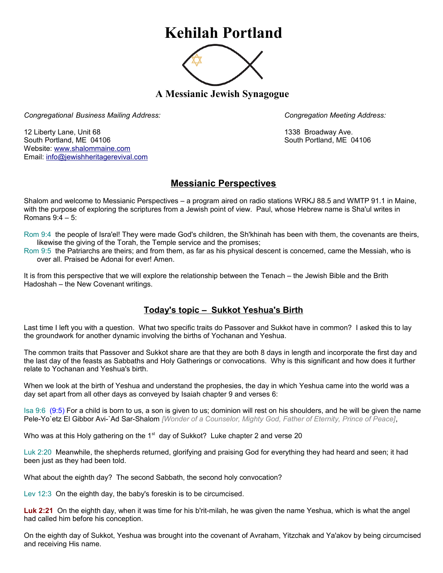## **Kehilah Portland**



**A Messianic Jewish Synagogue** 

*Congregational Business Mailing Address: Congregation Meeting Address:*

12 Liberty Lane, Unit 68 1338 Broadway Ave. South Portland, ME 04106 South Portland, ME 04106 Website: [www.shalommaine.com](http://www.shalommaine.com/) Email: [info@jewishheritagerevival.com](mailto:info@jewishheritagerevival.com) 

## **Messianic Perspectives**

Shalom and welcome to Messianic Perspectives – a program aired on radio stations WRKJ 88.5 and WMTP 91.1 in Maine, with the purpose of exploring the scriptures from a Jewish point of view. Paul, whose Hebrew name is Sha'ul writes in Romans 9:4 – 5:

Rom 9:4 the people of Isra'el! They were made God's children, the Sh'khinah has been with them, the covenants are theirs, likewise the giving of the Torah, the Temple service and the promises;

Rom 9:5 the Patriarchs are theirs; and from them, as far as his physical descent is concerned, came the Messiah, who is over all. Praised be Adonai for ever! Amen.

It is from this perspective that we will explore the relationship between the Tenach – the Jewish Bible and the Brith Hadoshah – the New Covenant writings.

## **Today's topic – Sukkot Yeshua's Birth**

Last time I left you with a question. What two specific traits do Passover and Sukkot have in common? I asked this to lay the groundwork for another dynamic involving the births of Yochanan and Yeshua.

The common traits that Passover and Sukkot share are that they are both 8 days in length and incorporate the first day and the last day of the feasts as Sabbaths and Holy Gatherings or convocations. Why is this significant and how does it further relate to Yochanan and Yeshua's birth.

When we look at the birth of Yeshua and understand the prophesies, the day in which Yeshua came into the world was a day set apart from all other days as conveyed by Isaiah chapter 9 and verses 6:

Isa 9:6 (9:5) For a child is born to us, a son is given to us; dominion will rest on his shoulders, and he will be given the name Pele-Yo`etz El Gibbor Avi-`Ad Sar-Shalom *[Wonder of a Counselor, Mighty God, Father of Eternity, Prince of Peace]*,

Who was at this Holy gathering on the  $1<sup>st</sup>$  day of Sukkot? Luke chapter 2 and verse 20

Luk 2:20 Meanwhile, the shepherds returned, glorifying and praising God for everything they had heard and seen; it had been just as they had been told.

What about the eighth day? The second Sabbath, the second holy convocation?

Lev 12:3 On the eighth day, the baby's foreskin is to be circumcised.

**Luk 2:21** On the eighth day, when it was time for his b'rit-milah, he was given the name Yeshua, which is what the angel had called him before his conception.

On the eighth day of Sukkot, Yeshua was brought into the covenant of Avraham, Yitzchak and Ya'akov by being circumcised and receiving His name.